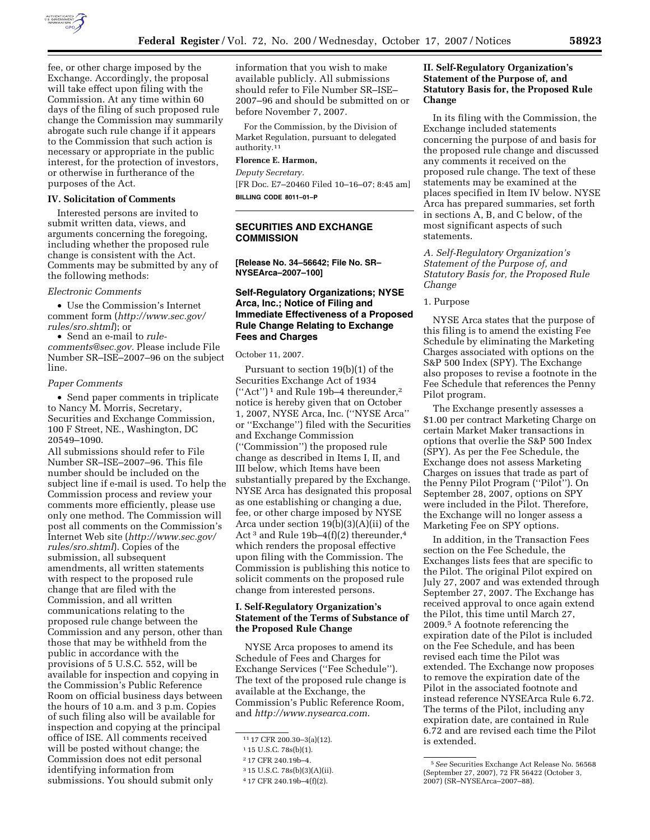

fee, or other charge imposed by the Exchange. Accordingly, the proposal will take effect upon filing with the Commission. At any time within 60 days of the filing of such proposed rule change the Commission may summarily abrogate such rule change if it appears to the Commission that such action is necessary or appropriate in the public interest, for the protection of investors, or otherwise in furtherance of the purposes of the Act.

### **IV. Solicitation of Comments**

Interested persons are invited to submit written data, views, and arguments concerning the foregoing, including whether the proposed rule change is consistent with the Act. Comments may be submitted by any of the following methods:

#### *Electronic Comments*

• Use the Commission's Internet comment form (*http://www.sec.gov/ rules/sro.shtml*); or

• Send an e-mail to *rulecomments@sec.gov.* Please include File Number SR–ISE–2007–96 on the subject line.

### *Paper Comments*

• Send paper comments in triplicate to Nancy M. Morris, Secretary, Securities and Exchange Commission, 100 F Street, NE., Washington, DC 20549–1090.

All submissions should refer to File Number SR–ISE–2007–96. This file number should be included on the subject line if e-mail is used. To help the Commission process and review your comments more efficiently, please use only one method. The Commission will post all comments on the Commission's Internet Web site (*http://www.sec.gov/ rules/sro.shtml*). Copies of the submission, all subsequent amendments, all written statements with respect to the proposed rule change that are filed with the Commission, and all written communications relating to the proposed rule change between the Commission and any person, other than those that may be withheld from the public in accordance with the provisions of 5 U.S.C. 552, will be available for inspection and copying in the Commission's Public Reference Room on official business days between the hours of 10 a.m. and 3 p.m. Copies of such filing also will be available for inspection and copying at the principal office of ISE. All comments received will be posted without change; the Commission does not edit personal identifying information from submissions. You should submit only

information that you wish to make available publicly. All submissions should refer to File Number SR–ISE– 2007–96 and should be submitted on or before November 7, 2007.

For the Commission, by the Division of Market Regulation, pursuant to delegated authority.11

### **Florence E. Harmon,**

*Deputy Secretary.*  [FR Doc. E7–20460 Filed 10–16–07; 8:45 am] **BILLING CODE 8011–01–P** 

# **SECURITIES AND EXCHANGE COMMISSION**

**[Release No. 34–56642; File No. SR– NYSEArca–2007–100]** 

# **Self-Regulatory Organizations; NYSE Arca, Inc.; Notice of Filing and Immediate Effectiveness of a Proposed Rule Change Relating to Exchange Fees and Charges**

October 11, 2007.

Pursuant to section 19(b)(1) of the Securities Exchange Act of 1934 (''Act'') 1 and Rule 19b–4 thereunder,2 notice is hereby given that on October 1, 2007, NYSE Arca, Inc. (''NYSE Arca'' or ''Exchange'') filed with the Securities and Exchange Commission (''Commission'') the proposed rule change as described in Items I, II, and III below, which Items have been substantially prepared by the Exchange. NYSE Arca has designated this proposal as one establishing or changing a due, fee, or other charge imposed by NYSE Arca under section 19(b)(3)(A)(ii) of the Act 3 and Rule 19b–4(f)(2) thereunder,4 which renders the proposal effective upon filing with the Commission. The Commission is publishing this notice to solicit comments on the proposed rule change from interested persons.

# **I. Self-Regulatory Organization's Statement of the Terms of Substance of the Proposed Rule Change**

NYSE Arca proposes to amend its Schedule of Fees and Charges for Exchange Services (''Fee Schedule''). The text of the proposed rule change is available at the Exchange, the Commission's Public Reference Room, and *http://www.nysearca.com*.

# **II. Self-Regulatory Organization's Statement of the Purpose of, and Statutory Basis for, the Proposed Rule Change**

In its filing with the Commission, the Exchange included statements concerning the purpose of and basis for the proposed rule change and discussed any comments it received on the proposed rule change. The text of these statements may be examined at the places specified in Item IV below. NYSE Arca has prepared summaries, set forth in sections A, B, and C below, of the most significant aspects of such statements.

*A. Self-Regulatory Organization's Statement of the Purpose of, and Statutory Basis for, the Proposed Rule Change* 

1. Purpose

NYSE Arca states that the purpose of this filing is to amend the existing Fee Schedule by eliminating the Marketing Charges associated with options on the S&P 500 Index (SPY). The Exchange also proposes to revise a footnote in the Fee Schedule that references the Penny Pilot program.

The Exchange presently assesses a \$1.00 per contract Marketing Charge on certain Market Maker transactions in options that overlie the S&P 500 Index (SPY). As per the Fee Schedule, the Exchange does not assess Marketing Charges on issues that trade as part of the Penny Pilot Program (''Pilot''). On September 28, 2007, options on SPY were included in the Pilot. Therefore, the Exchange will no longer assess a Marketing Fee on SPY options.

In addition, in the Transaction Fees section on the Fee Schedule, the Exchanges lists fees that are specific to the Pilot. The original Pilot expired on July 27, 2007 and was extended through September 27, 2007. The Exchange has received approval to once again extend the Pilot, this time until March 27, 2009.5 A footnote referencing the expiration date of the Pilot is included on the Fee Schedule, and has been revised each time the Pilot was extended. The Exchange now proposes to remove the expiration date of the Pilot in the associated footnote and instead reference NYSEArca Rule 6.72. The terms of the Pilot, including any expiration date, are contained in Rule 6.72 and are revised each time the Pilot is extended.

<sup>11</sup> 17 CFR 200.30–3(a)(12).

<sup>1</sup> 15 U.S.C. 78s(b)(1).

<sup>2</sup> 17 CFR 240.19b–4.

<sup>3</sup> 15 U.S.C. 78s(b)(3)(A)(ii).

<sup>4</sup> 17 CFR 240.19b–4(f)(2).

<sup>5</sup>*See* Securities Exchange Act Release No. 56568 (September 27, 2007), 72 FR 56422 (October 3, 2007) (SR–NYSEArca–2007–88).